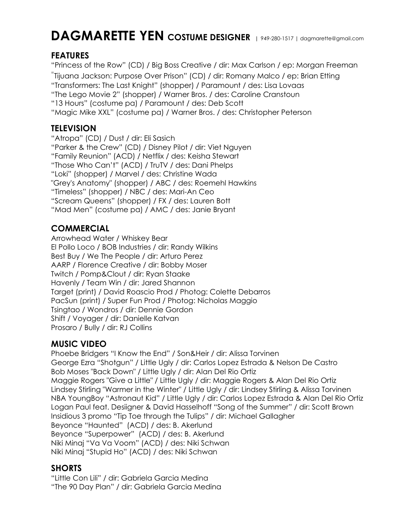# **DAGMARETTE YEN COSTUME DESIGNER |** 949-280-1517 <sup>|</sup> dagmarette@gmail.com

# **FEATURES**

"Princess of the Row" (CD) / Big Boss Creative / dir: Max Carlson / ep: Morgan Freeman

"Tijuana Jackson: Purpose Over Prison" (CD) / dir: Romany Malco / ep: Brian Etting

"Transformers: The Last Knight" (shopper) / Paramount / des: Lisa Lovaas

"The Lego Movie 2" (shopper) / Warner Bros. / des: Caroline Cranstoun

"13 Hours" (costume pa) / Paramount / des: Deb Scott

"Magic Mike XXL" (costume pa) / Warner Bros. / des: Christopher Peterson

#### **TELEVISION**

"Atropa" (CD) / Dust / dir: Eli Sasich "Parker & the Crew" (CD) / Disney Pilot / dir: Viet Nguyen "Family Reunion" (ACD) / Netflix / des: Keisha Stewart "Those Who Can't" (ACD) / TruTV / des: Dani Phelps "Loki" (shopper) / Marvel / des: Christine Wada "Grey's Anatomy" (shopper) / ABC / des: Roemehl Hawkins "Timeless" (shopper) / NBC / des: Mari-An Ceo "Scream Queens" (shopper) / FX / des: Lauren Bott "Mad Men" (costume pa) / AMC / des: Janie Bryant

# **COMMERCIAL**

Arrowhead Water / Whiskey Bear El Pollo Loco / BOB Industries / dir: Randy Wilkins Best Buy / We The People / dir: Arturo Perez AARP / Florence Creative / dir: Bobby Moser Twitch / Pomp&Clout / dir: Ryan Staake Havenly / Team Win / dir: Jared Shannon Target (print) / David Roascio Prod / Photog: Colette Debarros PacSun (print) / Super Fun Prod / Photog: Nicholas Maggio Tsingtao / Wondros / dir: Dennie Gordon Shift / Voyager / dir: Danielle Katvan Prosaro / Bully / dir: RJ Collins

# **MUSIC VIDEO**

Phoebe Bridgers "I Know the End" / Son&Heir / dir: Alissa Torvinen George Ezra "Shotgun" / Little Ugly / dir: Carlos Lopez Estrada & Nelson De Castro Bob Moses "Back Down" / Little Ugly / dir: Alan Del Rio Ortiz Maggie Rogers "Give a Little" / Little Ugly / dir: Maggie Rogers & Alan Del Rio Ortiz Lindsey Stirling "Warmer in the Winter" / Little Ugly / dir: Lindsey Stirling & Alissa Torvinen NBA YoungBoy "Astronaut Kid" / Little Ugly / dir: Carlos Lopez Estrada & Alan Del Rio Ortiz Logan Paul feat. Desiigner & David Hasselhoff "Song of the Summer" / dir: Scott Brown Insidious 3 promo "Tip Toe through the Tulips" / dir: Michael Gallagher Beyonce "Haunted" (ACD) / des: B. Akerlund Beyonce "Superpower" (ACD) / des: B. Akerlund Niki Minaj "Va Va Voom" (ACD) / des: Niki Schwan Niki Minaj "Stupid Ho" (ACD) / des: Niki Schwan

#### **SHORTS**

"Little Con Lili" / dir: Gabriela Garcia Medina "The 90 Day Plan" / dir: Gabriela Garcia Medina